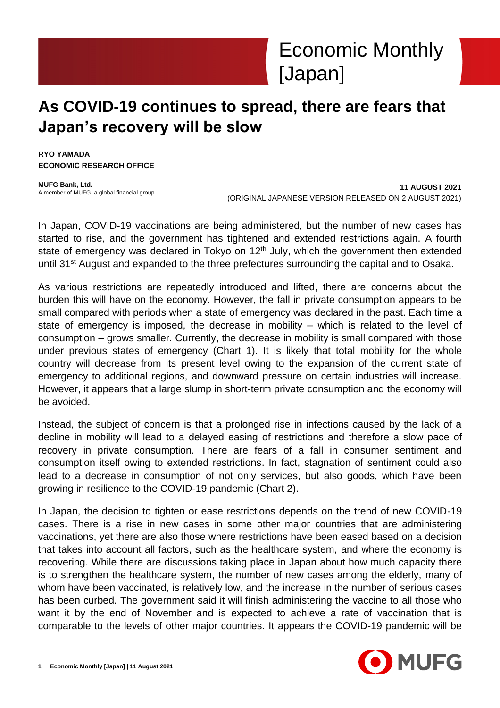

# **As COVID-19 continues to spread, there are fears that Japan's recovery will be slow**

**RYO YAMADA ECONOMIC RESEARCH OFFICE**

**MUFG Bank, Ltd.** A member of MUFG, a global financial group

**11 AUGUST 2021** (ORIGINAL JAPANESE VERSION RELEASED ON 2 AUGUST 2021)

In Japan, COVID-19 vaccinations are being administered, but the number of new cases has started to rise, and the government has tightened and extended restrictions again. A fourth state of emergency was declared in Tokyo on  $12<sup>th</sup>$  July, which the government then extended until 31<sup>st</sup> August and expanded to the three prefectures surrounding the capital and to Osaka.

As various restrictions are repeatedly introduced and lifted, there are concerns about the burden this will have on the economy. However, the fall in private consumption appears to be small compared with periods when a state of emergency was declared in the past. Each time a state of emergency is imposed, the decrease in mobility – which is related to the level of consumption – grows smaller. Currently, the decrease in mobility is small compared with those under previous states of emergency (Chart 1). It is likely that total mobility for the whole country will decrease from its present level owing to the expansion of the current state of emergency to additional regions, and downward pressure on certain industries will increase. However, it appears that a large slump in short-term private consumption and the economy will be avoided.

Instead, the subject of concern is that a prolonged rise in infections caused by the lack of a decline in mobility will lead to a delayed easing of restrictions and therefore a slow pace of recovery in private consumption. There are fears of a fall in consumer sentiment and consumption itself owing to extended restrictions. In fact, stagnation of sentiment could also lead to a decrease in consumption of not only services, but also goods, which have been growing in resilience to the COVID-19 pandemic (Chart 2).

In Japan, the decision to tighten or ease restrictions depends on the trend of new COVID-19 cases. There is a rise in new cases in some other major countries that are administering vaccinations, yet there are also those where restrictions have been eased based on a decision that takes into account all factors, such as the healthcare system, and where the economy is recovering. While there are discussions taking place in Japan about how much capacity there is to strengthen the healthcare system, the number of new cases among the elderly, many of whom have been vaccinated, is relatively low, and the increase in the number of serious cases has been curbed. The government said it will finish administering the vaccine to all those who want it by the end of November and is expected to achieve a rate of vaccination that is comparable to the levels of other major countries. It appears the COVID-19 pandemic will be

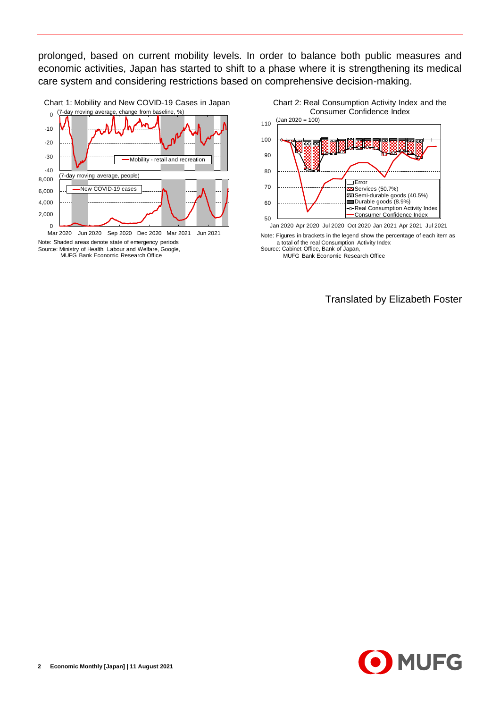prolonged, based on current mobility levels. In order to balance both public measures and economic activities, Japan has started to shift to a phase where it is strengthening its medical care system and considering restrictions based on comprehensive decision-making.



Note: Shaded areas denote state of emergency periods Source: Ministry of Health, Labour and Welfare, Google, MUFG Bank Economic Research Office



Jan 2020 Apr 2020 Jul 2020 Oct 2020 Jan 2021 Apr 2021 Jul 2021

Note: Figures in brackets in the legend show the percentage of each item as a total of the real Consumption Activity Index

Source: Cabinet Office, Bank of Japan, MUFG Bank Economic Research Office

Translated by Elizabeth Foster

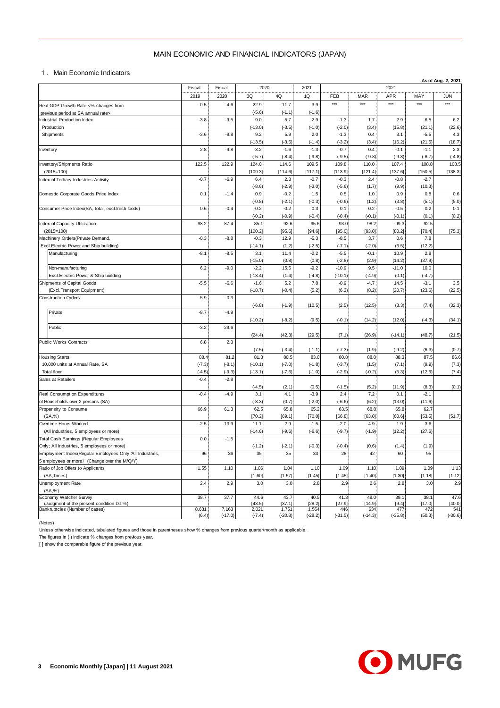## MAIN ECONOMIC AND FINANCIAL INDICATORS (JAPAN)

|                                                                                                          | MAIN ECONOMIC AND FINANCIAL INDICATORS (JAPAN) |                    |                     |                    |                    |                     |                     |                     |                    |                    |
|----------------------------------------------------------------------------------------------------------|------------------------------------------------|--------------------|---------------------|--------------------|--------------------|---------------------|---------------------|---------------------|--------------------|--------------------|
|                                                                                                          |                                                |                    |                     |                    |                    |                     |                     |                     |                    |                    |
| 1. Main Economic Indicators                                                                              |                                                |                    |                     |                    |                    |                     |                     |                     |                    | As of Aug. 2, 2021 |
| 2020<br>2021<br>Fiscal<br>Fiscal                                                                         |                                                |                    |                     |                    |                    | 2021                |                     |                     |                    |                    |
|                                                                                                          | 2019<br>$-0.5$                                 | 2020<br>$-4.6$     | $3{\sf Q}$<br>22.9  | 4Q<br>11.7         | 1Q<br>$-3.9$       | FEB<br>$***$        | <b>MAR</b><br>$***$ | <b>APR</b><br>$***$ | MAY<br>$***$       | <b>JUN</b><br>***  |
| Real GDP Growth Rate <% changes from<br>previous period at SA annual rate>                               |                                                |                    | $(-5.6)$            | $(-1.1)$           | $(-1.6)$           |                     |                     |                     |                    |                    |
| Industrial Production Index                                                                              | $-3.8$                                         | $-9.5$             | 9.0                 | 5.7                | 2.9                | $-1.3$              | 1.7                 | 2.9                 | $-6.5$             | 6.2                |
| Production                                                                                               |                                                |                    | $(-13.0)$           | $(-3.5)$           | $(-1.0)$           | $(-2.0)$            | (3.4)               | (15.8)              | (21.1)             | (22.6)             |
| Shipments                                                                                                | $-3.6$                                         | $-9.8$             | 9.2<br>$(-13.5)$    | 5.9<br>$(-3.5)$    | 2.0<br>$(-1.4)$    | $-1.3$<br>$(-3.2)$  | 0.4<br>(3.4)        | 3.1<br>(16.2)       | $-5.5$<br>(21.5)   | 4.3<br>(18.7)      |
| Inventory                                                                                                | 2.8                                            | $-9.8$             | $-3.2$              | $-1.6$             | $-1.3$             | $-0.7$              | 0.4                 | $-0.1$              | $-1.1$             | 2.3                |
|                                                                                                          |                                                |                    | $(-5.7)$            | $(-8.4)$           | $(-9.8)$           | $(-9.5)$            | $(-9.8)$            | $(-9.8)$            | $(-8.7)$           | $(-4.8)$           |
| Inventory/Shipments Ratio<br>$(2015=100)$                                                                | 122.5                                          | 122.9              | 124.0<br>[109.3]    | 114.6<br>[114.6]   | 109.5<br>[117.1]   | 109.8<br>[113.9]    | 110.0<br>[121.4]    | 107.4<br>[137.6]    | 108.8<br>[150.5]   | 108.5<br>[138.3]   |
| Index of Tertiary Industries Activity                                                                    | $-0.7$                                         | $-6.9$             | 6.4                 | 2.3                | $-0.7$             | $-0.3$              | 2.4                 | $-0.8$              | $-2.7$             |                    |
|                                                                                                          |                                                |                    | $(-8.6)$            | $(-2.9)$           | $(-3.0)$           | $(-5.6)$            | (1.7)               | (9.9)               | (10.3)             |                    |
| Domestic Corporate Goods Price Index                                                                     | 0.1                                            | $-1.4$             | 0.9                 | $-0.2$             | 1.5                | 0.5                 | 1.0                 | 0.9                 | 0.8                | 0.6                |
| Consumer Price Index(SA, total, excl.fresh foods)                                                        | 0.6                                            | $-0.4$             | $(-0.8)$<br>$-0.2$  | $(-2.1)$<br>$-0.2$ | $(-0.3)$<br>0.3    | $(-0.6)$<br>0.1     | (1.2)<br>0.2        | (3.8)<br>$-0.5$     | (5.1)<br>0.2       | (5.0)<br>0.1       |
|                                                                                                          |                                                |                    | $(-0.2)$            | $(-0.9)$           | $(-0.4)$           | $(-0.4)$            | $(-0.1)$            | $(-0.1)$            | (0.1)              | (0.2)              |
| Index of Capacity Utilization                                                                            | 98.2                                           | 87.4               | 85.1                | 92.6               | 95.6               | 93.0                | 98.2                | 99.3                | 92.5               |                    |
| $(2015=100)$                                                                                             |                                                |                    | [100.2]             | [95.6]             | [94.6]             | [95.0]              | [93.0]              | [80.2]              | [70.4]             | [75.3]             |
| Machinery Orders (Private Demand,<br>Excl.Electric Power and Ship building)                              | $-0.3$                                         | $-8.8$             | $-0.3$<br>$(-14.1)$ | 12.9<br>(1.2)      | $-5.3$<br>$(-2.5)$ | $-8.5$<br>$(-7.1)$  | 3.7<br>$(-2.0)$     | 0.6<br>(6.5)        | 7.8<br>(12.2)      |                    |
| Manufacturing                                                                                            | $-8.1$                                         | $-8.5$             | 3.1                 | 11.4               | $-2.2$             | $-5.5$              | $-0.1$              | 10.9                | 2.8                |                    |
|                                                                                                          |                                                |                    | $(-15.0)$           | (0.8)              | (0.8)              | $(-2.8)$            | (2.9)               | (14.2)              | (37.9)             |                    |
| Non-manufacturing                                                                                        | 6.2                                            | $-9.0$             | $-2.2$              | 15.5               | $-9.2$             | $-10.9$             | 9.5                 | $-11.0$             | 10.0               |                    |
| Excl. Electric Power & Ship building<br>Shipments of Capital Goods                                       | $-5.5$                                         | $-6.6$             | $(-13.4)$<br>$-1.6$ | (1.4)<br>5.2       | $(-4.8)$<br>7.8    | $(-10.1)$<br>$-0.9$ | $(-4.9)$<br>$-4.7$  | (0.1)<br>14.5       | $(-4.7)$<br>$-3.1$ | 3.5                |
| (Excl.Transport Equipment)                                                                               |                                                |                    | $(-18.7)$           | $(-0.4)$           | (5.2)              | (6.3)               | (8.2)               | (20.7)              | (23.6)             | (22.5)             |
| <b>Construction Orders</b>                                                                               | $-5.9$                                         | $-0.3$             |                     |                    |                    |                     |                     |                     |                    |                    |
|                                                                                                          |                                                |                    | $(-6.8)$            | $(-1.9)$           | (10.5)             | (2.5)               | (12.5)              | (3.3)               | (7.4)              | (32.3)             |
| Private                                                                                                  | $-8.7$                                         | $-4.9$             | $(-10.2)$           | $(-8.2)$           | (9.5)              | $(-0.1)$            | (14.2)              | (12.0)              | $(-4.3)$           | (34.1)             |
| Public                                                                                                   | $-3.2$                                         | 29.6               |                     |                    |                    |                     |                     |                     |                    |                    |
|                                                                                                          |                                                |                    | (24.4)              | (42.3)             | (29.5)             | (7.1)               | (26.9)              | $(-14.1)$           | (48.7)             | (21.5)             |
| Public Works Contracts                                                                                   | 6.8                                            | 2.3                |                     |                    |                    |                     |                     |                     |                    |                    |
| <b>Housing Starts</b>                                                                                    | 88.4                                           | 81.2               | (7.5)<br>81.3       | $(-3.4)$<br>80.5   | $(-1.1)$<br>83.0   | $(-7.3)$<br>80.8    | (1.9)<br>88.0       | $(-9.2)$<br>88.3    | (6.3)<br>87.5      | (0.7)<br>86.6      |
| 10,000 units at Annual Rate, SA                                                                          | $(-7.3)$                                       | $(-8.1)$           | $(-10.1)$           | $(-7.0)$           | $(-1.8)$           | $(-3.7)$            | (1.5)               | (7.1)               | (9.9)              | (7.3)              |
| <b>Total floor</b>                                                                                       | $(-4.5)$                                       | $(-9.3)$           | $(-13.1)$           | $(-7.6)$           | $(-1.0)$           | $(-2.9)$            | $(-0.2)$            | (5.3)               | (12.6)             | (7.4)              |
| Sales at Retailers                                                                                       | $-0.4$                                         | $-2.8$             | $(-4.5)$            | (2.1)              | (0.5)              | $(-1.5)$            | (5.2)               | (11.9)              | (8.3)              | (0.1)              |
| Real Consumption Expenditures                                                                            | $-0.4$                                         | $-4.9$             | 3.1                 | 4.1                | $-3.9$             | 2.4                 | 7.2                 | 0.1                 | $-2.1$             |                    |
| of Households over 2 persons (SA)                                                                        |                                                |                    | $(-8.3)$            | (0.7)              | $(-2.0)$           | $(-6.6)$            | (6.2)               | (13.0)              | (11.6)             |                    |
| Propensity to Consume                                                                                    | 66.9                                           | 61.3               | 62.5                | 65.8               | 65.2               | 63.5                | 68.8                | 65.8                | 62.7               |                    |
| (SA, %)<br>Overtime Hours Worked                                                                         | $-2.5$                                         | $-13.9$            | [70.2]<br>11.1      | [69.1]<br>2.9      | [70.0]<br>1.5      | [66.8]<br>$-2.0$    | [63.0]<br>4.9       | [60.6]<br>1.9       | [53.5]<br>$-3.6$   | [51.7]             |
| (All Industries, 5 employees or more)                                                                    |                                                |                    | $(-14.6)$           | $(-9.6)$           | $(-6.6)$           | $(-9.7)$            | $(-1.9)$            | (12.2)              | (27.6)             |                    |
| Total Cash Earnings (Regular Employees                                                                   | 0.0                                            | $-1.5$             |                     |                    |                    |                     |                     |                     |                    |                    |
| Only; All Industries, 5 employees or more)                                                               |                                                |                    | $(-1.2)$            | $(-2.1)$           | $(-0.3)$           | $(-0.4)$            | (0.6)               | (1.4)               | (1.9)              |                    |
| Employment Index(Regular Employees Only;'All Industries,<br>5 employees or more) (Change over the M/Q/Y) | 96                                             | 36                 | 35                  | 35                 | 33                 | 28                  | 42                  | 60                  | 95                 |                    |
| Ratio of Job Offers to Applicants                                                                        | 1.55                                           | 1.10               | 1.06                | 1.04               | 1.10               | 1.09                | 1.10                | 1.09                | 1.09               | 1.13               |
| (SA, Times)                                                                                              |                                                |                    | [1.60]              | [1.57]             | [1.45]             | [1.45]              | [1.40]              | [1.30]              | [1.18]             | [1.12]             |
| Unemployment Rate                                                                                        | 2.4                                            | 2.9                | 3.0                 | 3.0                | 2.8                | 2.9                 | 2.6                 | 2.8                 | 3.0                | 2.9                |
| (SA, %)<br>Economy Watcher Survey                                                                        | 38.7                                           | 37.7               | 44.6                | 43.7               | 40.5               | 41.3                | 49.0                | 39.1                | 38.1               | 47.6               |
| (Judgment of the present condition D.I,%)                                                                |                                                |                    | [43.5]              | [37.1]             | [28.2]             | [27.9]              | [14.9]              | $[9.4]$             | [17.0]             | [40.0]             |
| Bankruptcies (Number of cases)                                                                           | 8,631<br>(6.4)                                 | 7,163<br>$(-17.0)$ | 2,021<br>$(-7.4)$   | 1,751<br>$(-20.8)$ | 1,554<br>$(-28.2)$ | 446<br>$(-31.5)$    | 634<br>$(-14.3)$    | 477<br>$(-35.8)$    | 472<br>(50.3)      | 541<br>$(-30.6)$   |

(Notes)

Unless otherwise indicated, tabulated figures and those in parentheses show % changes from previous quarter/month as applicable.

The figures in ( ) indicate % changes from previous year.

[ ] show the comparable figure of the previous year.